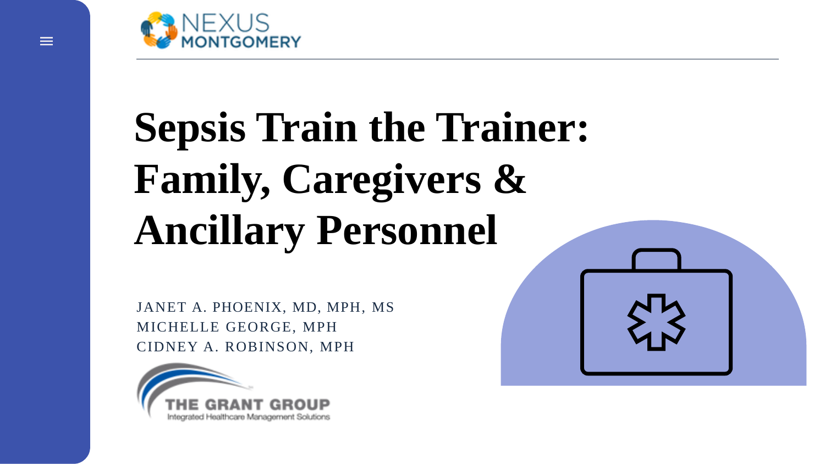

# **Sepsis Train the Trainer: Family, Caregivers & Ancillary Personnel**

JANET A. PHOENIX, MD, MPH, MS MICHELLE GEORGE, MPH CIDNEY A. ROBINSON, MPH

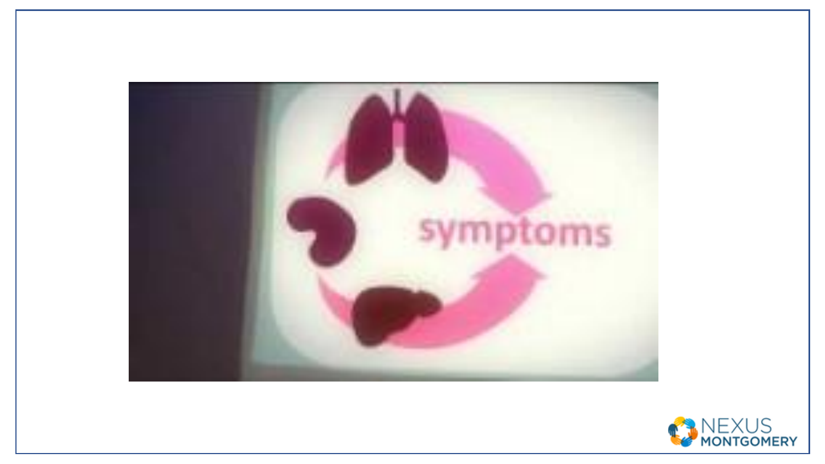

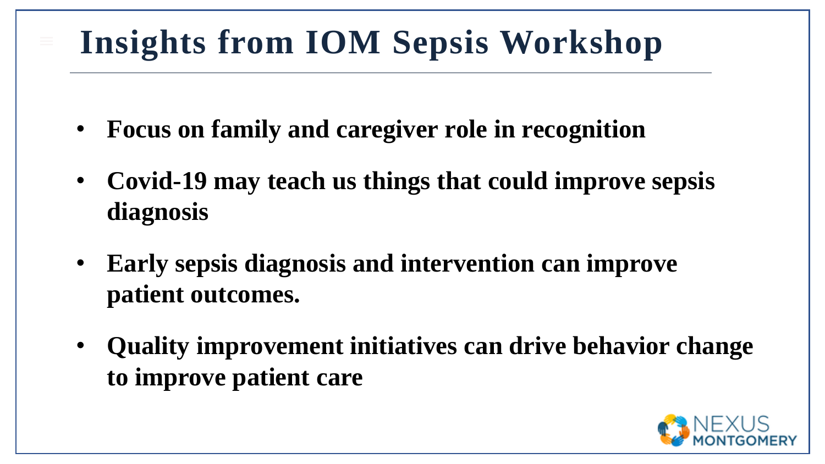## **Insights from IOM Sepsis Workshop**

- **Focus on family and caregiver role in recognition**
- CDC, Sepsis Alliance® and the Rory Staunton Foundation for Sepsis Prevention Fact Sheet • **Covid-19 may teach us things that could improve sepsis diagnosis**
	- **Early sepsis diagnosis and intervention can improve patient outcomes.**
	- **Quality improvement initiatives can drive behavior change to improve patient care**

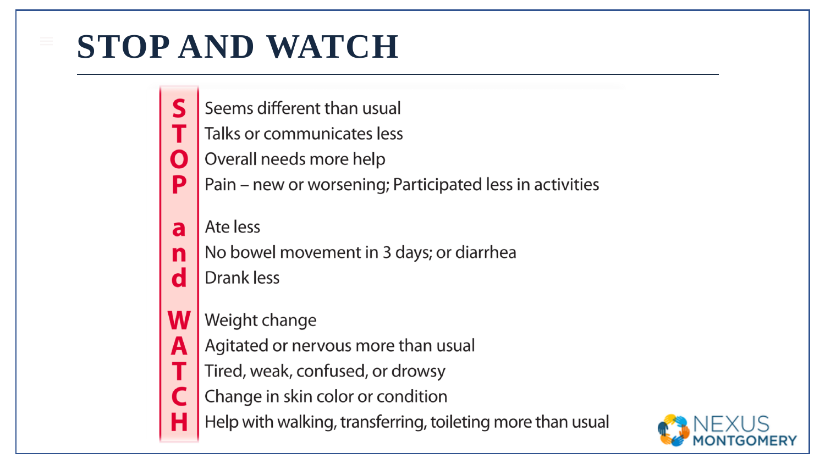#### **STOP AND WATCH**

- $\mathsf S$ Seems different than usual
	- Talks or communicates less
- Overall needs more help N
- P Pain – new or worsening; Participated less in activities
- Ate less a
- No bowel movement in 3 days; or diarrhea  $\overline{\mathbf{n}}$
- $\mathbf d$ Drank less
- W Weight change
- Agitated or nervous more than usual A
	- Tired, weak, confused, or drowsy
	- Change in skin color or condition
	- Help with walking, transferring, toileting more than usual

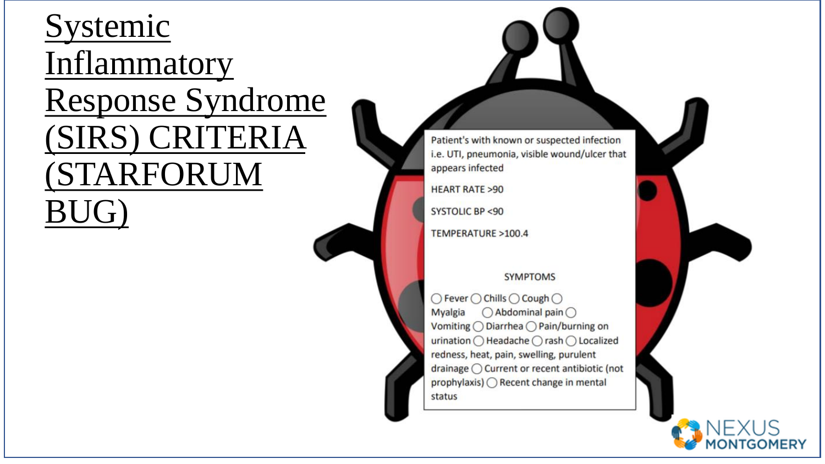#### Systemic Inflammatory Response Syndrome (SIRS) CRITERIA **(STARFORUM** BUG)

Patient's with known or suspected infection i.e. UTI, pneumonia, visible wound/ulcer that appears infected

**HEART RATE >90** 

**SYSTOLIC BP <90** 

TEMPERATURE >100.4

#### **SYMPTOMS**

○ Fever ○ Chills ○ Cough ○ Myalgia  $\bigcirc$  Abdominal pain  $\bigcirc$ Vomiting ◯ Diarrhea ◯ Pain/burning on urination ○ Headache ○ rash ○ Localized redness, heat, pain, swelling, purulent drainage ◯ Current or recent antibiotic (not prophylaxis) ◯ Recent change in mental status

MONTGOMERY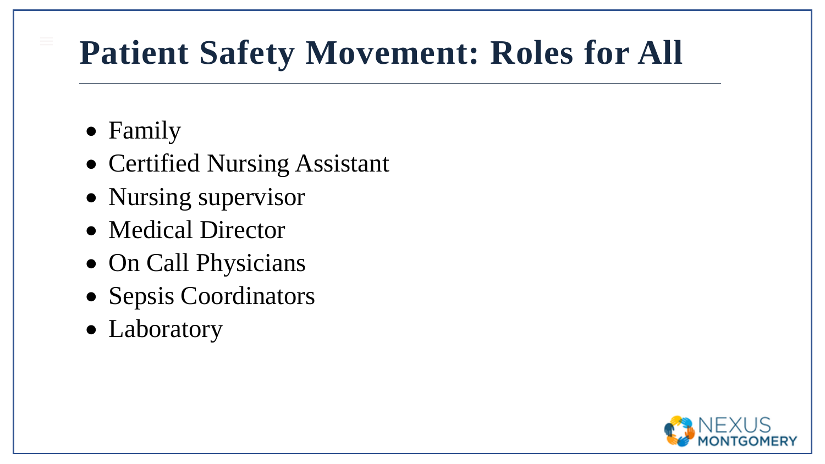### **Patient Safety Movement: Roles for All**

- Family
- Certified Nursing Assistant
- Nursing supervisor
- Medical Director
- On Call Physicians
- Sepsis Coordinators
- Laboratory

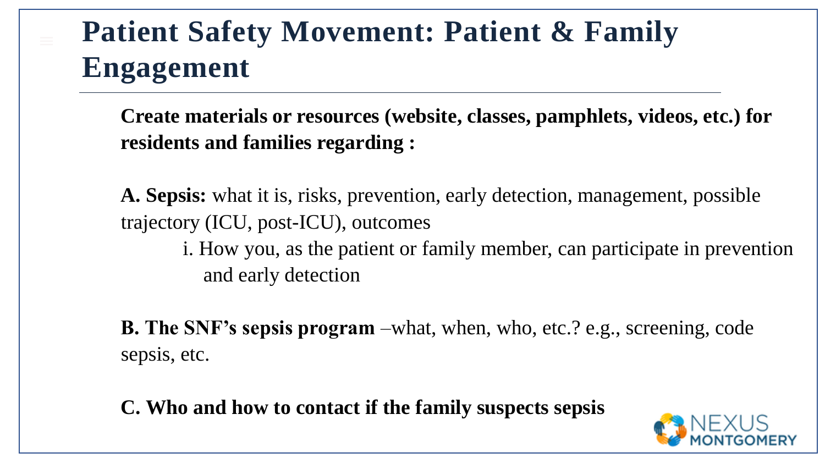#### **Patient Safety Movement: Patient & Family Engagement**

**Create materials or resources (website, classes, pamphlets, videos, etc.) for residents and families regarding :**

**A. Sepsis:** what it is, risks, prevention, early detection, management, possible trajectory (ICU, post-ICU), outcomes

i. How you, as the patient or family member, can participate in prevention and early detection

**B. The SNF's sepsis program** –what, when, who, etc.? e.g., screening, code sepsis, etc.

**C. Who and how to contact if the family suspects sepsis**

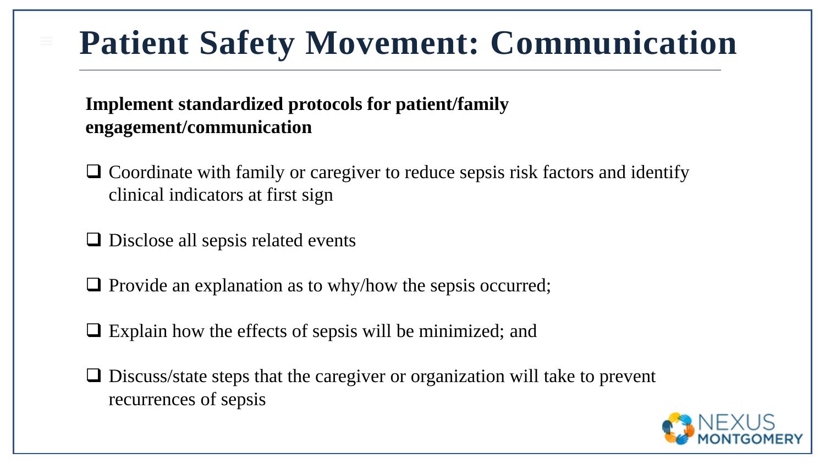### **Patient Safety Movement: Communication**

#### **Implement standardized protocols for patient/family engagement/communication**

- ❑ Coordinate with family or caregiver to reduce sepsis risk factors and identify clinical indicators at first sign
- ❑ Disclose all sepsis related events
- ❑ Provide an explanation as to why/how the sepsis occurred;
- ❑ Explain how the effects of sepsis will be minimized; and
- ❑ Discuss/state steps that the caregiver or organization will take to prevent recurrences of sepsis

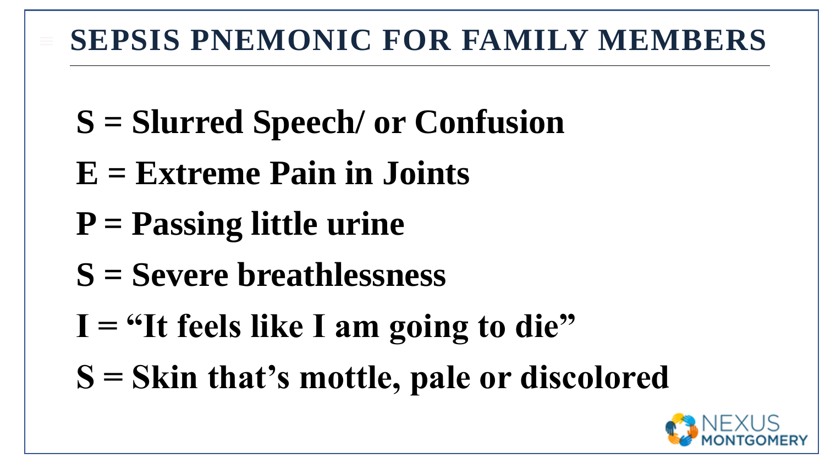#### **SEPSIS PNEMONIC FOR FAMILY MEMBERS**

- **S = Slurred Speech/ or Confusion**
- **E = Extreme Pain in Joints**
- **P = Passing little urine**
- **S = Severe breathlessness**
- **I = "It feels like I am going to die"**
- **S = Skin that's mottle, pale or discolored**

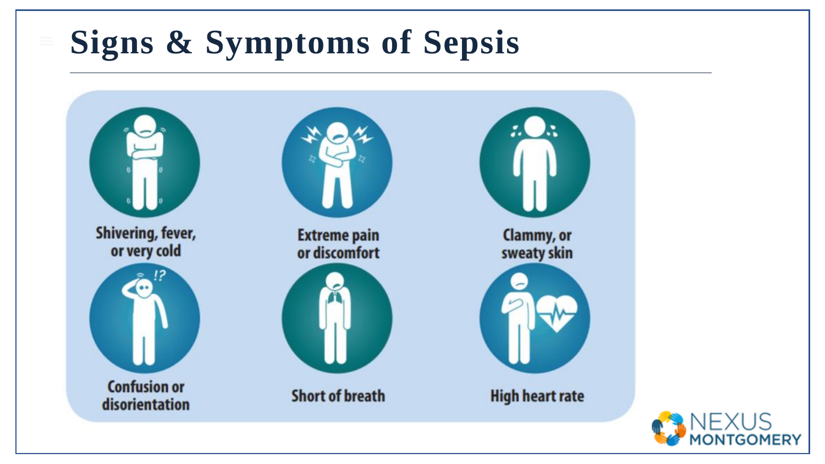#### **Signs & Symptoms of Sepsis**